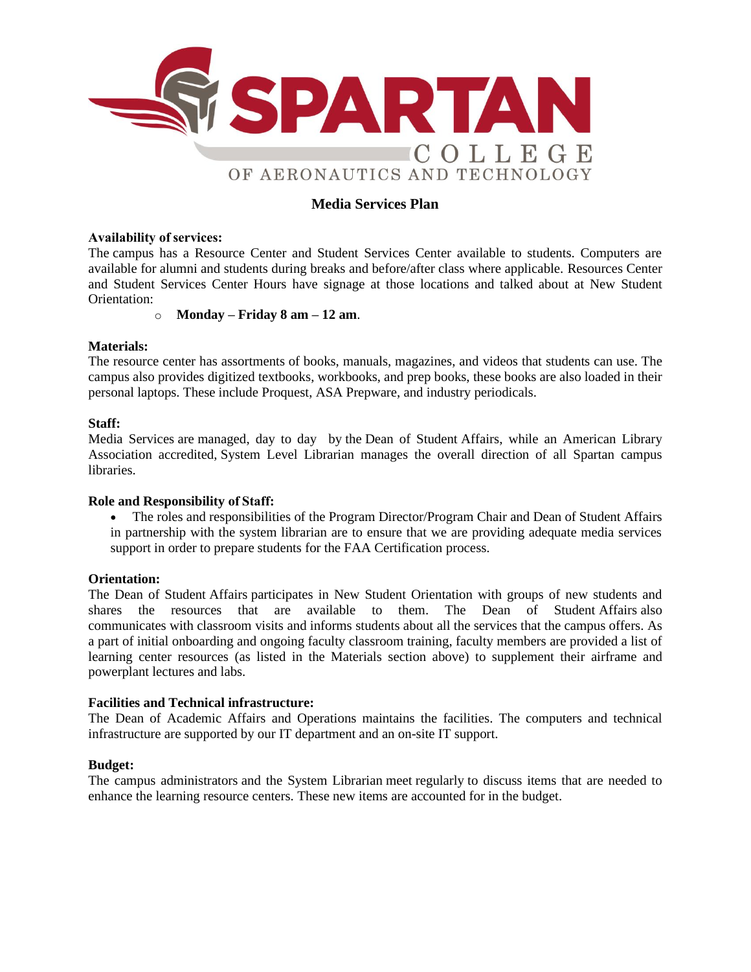

# **Media Services Plan**

# **Availability of services:**

The campus has a Resource Center and Student Services Center available to students. Computers are available for alumni and students during breaks and before/after class where applicable. Resources Center and Student Services Center Hours have signage at those locations and talked about at New Student Orientation:

# o **Monday – Friday 8 am – 12 am**.

# **Materials:**

The resource center has assortments of books, manuals, magazines, and videos that students can use. The campus also provides digitized textbooks, workbooks, and prep books, these books are also loaded in their personal laptops. These include Proquest, ASA Prepware, and industry periodicals.

# **Staff:**

Media Services are managed, day to day by the Dean of Student Affairs, while an American Library Association accredited, System Level Librarian manages the overall direction of all Spartan campus libraries.

#### **Role and Responsibility of Staff:**

• The roles and responsibilities of the Program Director/Program Chair and Dean of Student Affairs in partnership with the system librarian are to ensure that we are providing adequate media services support in order to prepare students for the FAA Certification process.

#### **Orientation:**

The Dean of Student Affairs participates in New Student Orientation with groups of new students and shares the resources that are available to them. The Dean of Student Affairs also communicates with classroom visits and informs students about all the services that the campus offers. As a part of initial onboarding and ongoing faculty classroom training, faculty members are provided a list of learning center resources (as listed in the Materials section above) to supplement their airframe and powerplant lectures and labs.

#### **Facilities and Technical infrastructure:**

The Dean of Academic Affairs and Operations maintains the facilities. The computers and technical infrastructure are supported by our IT department and an on-site IT support.

#### **Budget:**

The campus administrators and the System Librarian meet regularly to discuss items that are needed to enhance the learning resource centers. These new items are accounted for in the budget.